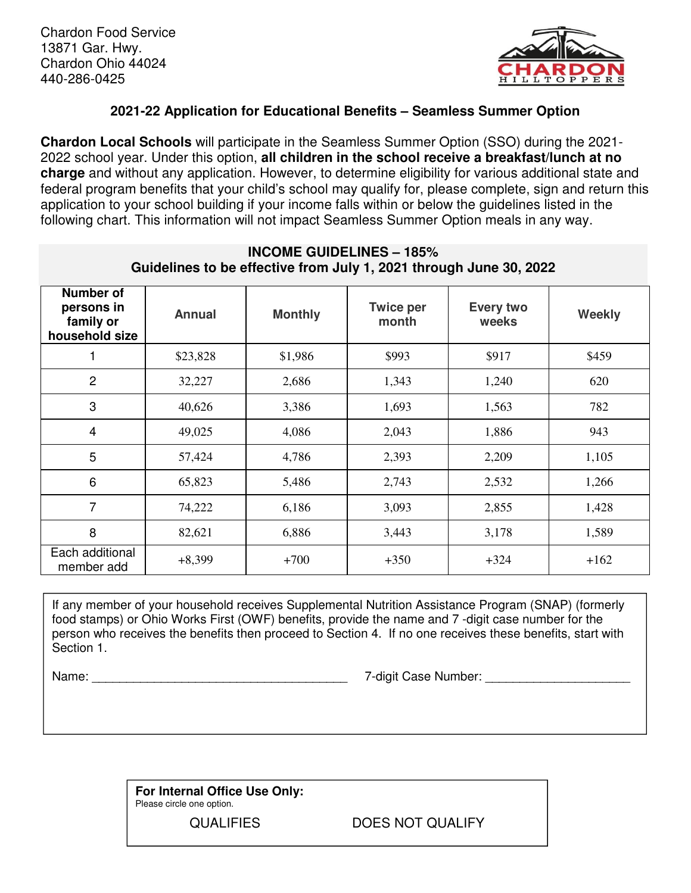

## **2021-22 Application for Educational Benefits – Seamless Summer Option**

**Chardon Local Schools** will participate in the Seamless Summer Option (SSO) during the 2021- 2022 school year. Under this option, **all children in the school receive a breakfast/lunch at no charge** and without any application. However, to determine eligibility for various additional state and federal program benefits that your child's school may qualify for, please complete, sign and return this application to your school building if your income falls within or below the guidelines listed in the following chart. This information will not impact Seamless Summer Option meals in any way.

| Guidelines to be effective from July 1, 2021 through June 30, 2022 |               |                |                           |                    |        |  |
|--------------------------------------------------------------------|---------------|----------------|---------------------------|--------------------|--------|--|
| Number of<br>persons in<br>family or<br>household size             | <b>Annual</b> | <b>Monthly</b> | <b>Twice per</b><br>month | Every two<br>weeks | Weekly |  |
| 1                                                                  | \$23,828      | \$1,986        | \$993                     | \$917              | \$459  |  |
| $\overline{2}$                                                     | 32,227        | 2,686          | 1,343                     | 1,240              | 620    |  |
| 3                                                                  | 40,626        | 3,386          | 1,693                     | 1,563              | 782    |  |
| $\overline{4}$                                                     | 49,025        | 4,086          | 2,043                     | 1,886              | 943    |  |
| 5                                                                  | 57,424        | 4,786          | 2,393                     | 2,209              | 1,105  |  |
| 6                                                                  | 65,823        | 5,486          | 2,743                     | 2,532              | 1,266  |  |
| $\overline{7}$                                                     | 74,222        | 6,186          | 3,093                     | 2,855              | 1,428  |  |
| 8                                                                  | 82,621        | 6,886          | 3,443                     | 3,178              | 1,589  |  |
| Each additional<br>member add                                      | $+8,399$      | $+700$         | $+350$                    | $+324$             | $+162$ |  |

## **INCOME GUIDELINES – 185%**

If any member of your household receives Supplemental Nutrition Assistance Program (SNAP) (formerly food stamps) or Ohio Works First (OWF) benefits, provide the name and 7 -digit case number for the person who receives the benefits then proceed to Section 4. If no one receives these benefits, start with Section 1.

Name: \_\_\_\_\_\_\_\_\_\_\_\_\_\_\_\_\_\_\_\_\_\_\_\_\_\_\_\_\_\_\_\_\_\_\_\_\_ 7-digit Case Number: \_\_\_\_\_\_\_\_\_\_\_\_\_\_\_\_\_\_\_\_\_

**For Internal Office Use Only:** Please circle one option.

QUALIFIES DOES NOT QUALIFY